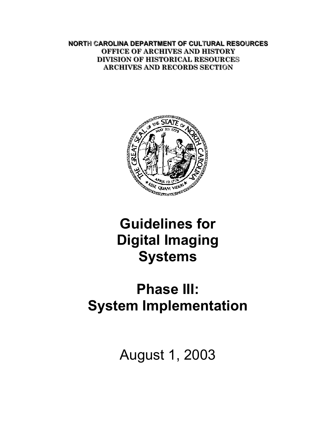**NORTH CAROLINA DEPARTMENT OF CULTURAL RESOURCES OFFICE OF ARCHIVES AND HISTORY DIVISION OF HISTORICAL RESOURCES ARCHIVES AND RECORDS SECTION** 



# **Guidelines for Digital Imaging Systems**

# **Phase III: System Implementation**

August 1, 2003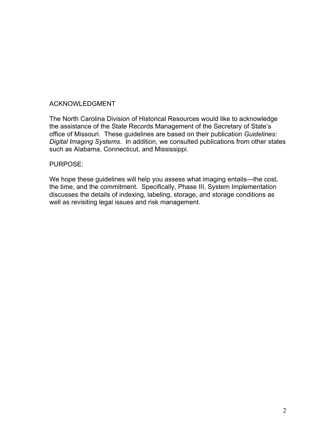#### ACKNOWLEDGMENT

The North Carolina Division of Historical Resources would like to acknowledge the assistance of the State Records Management of the Secretary of State's office of Missouri. These guidelines are based on their publication *Guidelines: Digital Imaging Systems*. In addition, we consulted publications from other states such as Alabama, Connecticut, and Mississippi.

#### PURPOSE:

We hope these guidelines will help you assess what imaging entails—the cost, the time, and the commitment. Specifically, Phase III, System Implementation discusses the details of indexing, labeling, storage, and storage conditions as well as revisiting legal issues and risk management.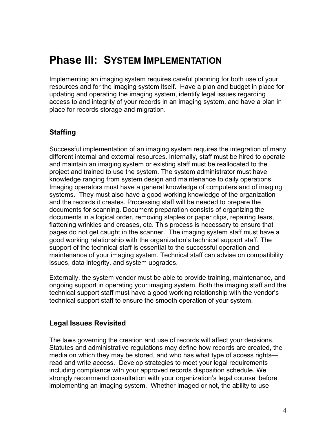# <span id="page-3-0"></span>**Phase III: SYSTEM IMPLEMENTATION**

Implementing an imaging system requires careful planning for both use of your resources and for the imaging system itself. Have a plan and budget in place for updating and operating the imaging system, identify legal issues regarding access to and integrity of your records in an imaging system, and have a plan in place for records storage and migration.

#### **Staffing**

Successful implementation of an imaging system requires the integration of many different internal and external resources. Internally, staff must be hired to operate and maintain an imaging system or existing staff must be reallocated to the project and trained to use the system. The system administrator must have knowledge ranging from system design and maintenance to daily operations. Imaging operators must have a general knowledge of computers and of imaging systems. They must also have a good working knowledge of the organization and the records it creates. Processing staff will be needed to prepare the documents for scanning. Document preparation consists of organizing the documents in a logical order, removing staples or paper clips, repairing tears, flattening wrinkles and creases, etc. This process is necessary to ensure that pages do not get caught in the scanner. The imaging system staff must have a good working relationship with the organization's technical support staff. The support of the technical staff is essential to the successful operation and maintenance of your imaging system. Technical staff can advise on compatibility issues, data integrity, and system upgrades.

Externally, the system vendor must be able to provide training, maintenance, and ongoing support in operating your imaging system. Both the imaging staff and the technical support staff must have a good working relationship with the vendor's technical support staff to ensure the smooth operation of your system.

#### **Legal Issues Revisited**

The laws governing the creation and use of records will affect your decisions. Statutes and administrative regulations may define how records are created, the media on which they may be stored, and who has what type of access rights read and write access. Develop strategies to meet your legal requirements including compliance with your approved records disposition schedule. We strongly recommend consultation with your organization's legal counsel before implementing an imaging system. Whether imaged or not, the ability to use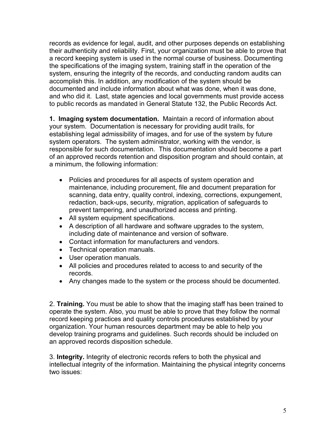records as evidence for legal, audit, and other purposes depends on establishing their authenticity and reliability. First, your organization must be able to prove that a record keeping system is used in the normal course of business. Documenting the specifications of the imaging system, training staff in the operation of the system, ensuring the integrity of the records, and conducting random audits can accomplish this. In addition, any modification of the system should be documented and include information about what was done, when it was done, and who did it. Last, state agencies and local governments must provide access to public records as mandated in General Statute 132, the Public Records Act.

**1. Imaging system documentation.** Maintain a record of information about your system. Documentation is necessary for providing audit trails, for establishing legal admissibility of images, and for use of the system by future system operators. The system administrator, working with the vendor, is responsible for such documentation. This documentation should become a part of an approved records retention and disposition program and should contain, at a minimum, the following information:

- Policies and procedures for all aspects of system operation and maintenance, including procurement, file and document preparation for scanning, data entry, quality control, indexing, corrections, expungement, redaction, back-ups, security, migration, application of safeguards to prevent tampering, and unauthorized access and printing.
- All system equipment specifications.
- A description of all hardware and software upgrades to the system, including date of maintenance and version of software.
- Contact information for manufacturers and vendors.
- Technical operation manuals.
- User operation manuals.
- All policies and procedures related to access to and security of the records.
- Any changes made to the system or the process should be documented.

2. **Training.** You must be able to show that the imaging staff has been trained to operate the system. Also, you must be able to prove that they follow the normal record keeping practices and quality controls procedures established by your organization. Your human resources department may be able to help you develop training programs and guidelines. Such records should be included on an approved records disposition schedule.

3. **Integrity.** Integrity of electronic records refers to both the physical and intellectual integrity of the information. Maintaining the physical integrity concerns two issues: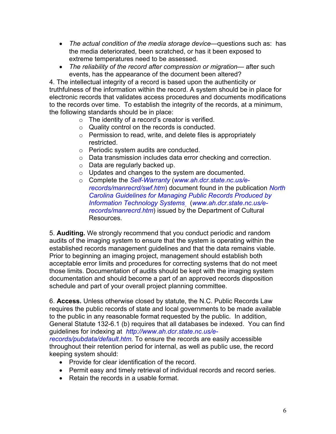- *The actual condition of the media storage device—*questions such as: has the media deteriorated, been scratched, or has it been exposed to extreme temperatures need to be assessed.
- *The reliability of the record after compression or migration—* after such events, has the appearance of the document been altered?

4*.* The intellectual integrity of a record is based upon the authenticity or truthfulness of the information within the record. A system should be in place for electronic records that validates access procedures and documents modifications to the records over time. To establish the integrity of the records, at a minimum, the following standards should be in place:

- o The identity of a record's creator is verified.
- o Quality control on the records is conducted.
- o Permission to read, write, and delete files is appropriately restricted.
- o Periodic system audits are conducted.
- o Data transmission includes data error checking and correction.
- o Data are regularly backed up.
- o Updates and changes to the system are documented.
- o Complete the *[Self-Warranty](http://www.ah.dcr.state.nc.us/e-records/manrecrd/swfintro.htm)* (*[www.ah.dcr.state.nc.us/e](http://www.ah.dcr.state.nc.us/e-records/manrecrd/swf.htm)[records/manrecrd/swf.htm](http://www.ah.dcr.state.nc.us/e-records/manrecrd/swf.htm)*) document found in the publication *[North](http://www.ah.dcr.state.nc.us/e-records/manrecrd/manrecrd.htm)  [Carolina Guidelines for Managing Public Records Produced by](http://www.ah.dcr.state.nc.us/e-records/manrecrd/manrecrd.htm)  [Information Technology Systems](http://www.ah.dcr.state.nc.us/e-records/manrecrd/manrecrd.htm)* (*[www.ah.dcr.state.nc.us/e](http://www.ah.dcr.state.nc.us/e-records/manrecrd.htm)[records/manrecrd.htm](http://www.ah.dcr.state.nc.us/e-records/manrecrd.htm)*) issued by the Department of Cultural Resources.

5. **Auditing.** We strongly recommend that you conduct periodic and random audits of the imaging system to ensure that the system is operating within the established records management guidelines and that the data remains viable. Prior to beginning an imaging project, management should establish both acceptable error limits and procedures for correcting systems that do not meet those limits. Documentation of audits should be kept with the imaging system documentation and should become a part of an approved records disposition schedule and part of your overall project planning committee.

6. **Access.** Unless otherwise closed by statute, the N.C. Public Records Law requires the public records of state and local governments to be made available to the public in any reasonable format requested by the public. In addition, General Statute 132-6.1 (b) requires that all databases be indexed. You can find guidelines for indexing at *[http://www.ah.dcr.state.nc.us/e](http://www.ah.dcr.state.nc.us/e-records/pubdata/default.htm)[records/pubdata/default.htm](http://www.ah.dcr.state.nc.us/e-records/pubdata/default.htm).* To ensure the records are easily accessible throughout their retention period for internal, as well as public use, the record keeping system should:

- Provide for clear identification of the record.
- Permit easy and timely retrieval of individual records and record series.
- Retain the records in a usable format.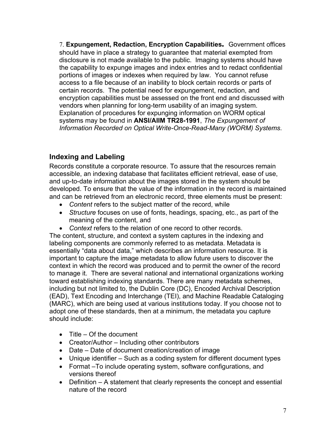<span id="page-6-0"></span>7. **Expungement, Redaction, Encryption Capabilities**. Government offices should have in place a strategy to guarantee that material exempted from disclosure is not made available to the public. Imaging systems should have the capability to expunge images and index entries and to redact confidential portions of images or indexes when required by law. You cannot refuse access to a file because of an inability to block certain records or parts of certain records. The potential need for expungement, redaction, and encryption capabilities must be assessed on the front end and discussed with vendors when planning for long-term usability of an imaging system. Explanation of procedures for expunging information on WORM optical systems may be found in **ANSI/AIIM TR28-1991**, *The Expungement of Information Recorded on Optical Write-Once-Read-Many (WORM) Systems*.

### **Indexing and Labeling**

Records constitute a corporate resource. To assure that the resources remain accessible, an indexing database that facilitates efficient retrieval, ease of use, and up-to-date information about the images stored in the system should be developed. To ensure that the value of the information in the record is maintained and can be retrieved from an electronic record, three elements must be present:

- *Content* refers to the subject matter of the record, while
- *Structure* focuses on use of fonts, headings, spacing, etc., as part of the meaning of the content, and
- *Context* refers to the relation of one record to other records.

The content, structure, and context a system captures in the indexing and labeling components are commonly referred to as metadata. Metadata is essentially "data about data," which describes an information resource. It is important to capture the image metadata to allow future users to discover the context in which the record was produced and to permit the owner of the record to manage it. There are several national and international organizations working toward establishing indexing standards. There are many metadata schemes, including but not limited to, the Dublin Core (DC), Encoded Archival Description (EAD), Text Encoding and Interchange (TEI), and Machine Readable Cataloging (MARC), which are being used at various institutions today. If you choose not to adopt one of these standards, then at a minimum, the metadata you capture should include:

- Title Of the document
- Creator/Author Including other contributors
- Date Date of document creation/creation of image
- Unique identifier Such as a coding system for different document types
- Format –To include operating system, software configurations, and versions thereof
- Definition A statement that clearly represents the concept and essential nature of the record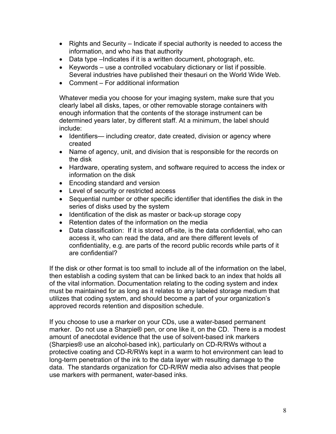- Rights and Security Indicate if special authority is needed to access the information, and who has that authority
- Data type –Indicates if it is a written document, photograph, etc.
- Keywords use a controlled vocabulary dictionary or list if possible. Several industries have published their thesauri on the World Wide Web.
- Comment For additional information

Whatever media you choose for your imaging system, make sure that you clearly label all disks, tapes, or other removable storage containers with enough information that the contents of the storage instrument can be determined years later, by different staff. At a minimum, the label should include:

- Identifiers— including creator, date created, division or agency where created
- Name of agency, unit, and division that is responsible for the records on the disk
- Hardware, operating system, and software required to access the index or information on the disk
- Encoding standard and version
- Level of security or restricted access
- Sequential number or other specific identifier that identifies the disk in the series of disks used by the system
- Identification of the disk as master or back-up storage copy
- Retention dates of the information on the media
- Data classification: If it is stored off-site, is the data confidential, who can access it, who can read the data, and are there different levels of confidentiality, e.g. are parts of the record public records while parts of it are confidential?

If the disk or other format is too small to include all of the information on the label, then establish a coding system that can be linked back to an index that holds all of the vital information. Documentation relating to the coding system and index must be maintained for as long as it relates to any labeled storage medium that utilizes that coding system, and should become a part of your organization's approved records retention and disposition schedule.

If you choose to use a marker on your CDs, use a water-based permanent marker. Do not use a Sharpie® pen, or one like it, on the CD. There is a modest amount of anecdotal evidence that the use of solvent-based ink markers (Sharpies® use an alcohol-based ink), particularly on CD-R/RWs without a protective coating and CD-R/RWs kept in a warm to hot environment can lead to long-term penetration of the ink to the data layer with resulting damage to the data. The standards organization for CD-R/RW media also advises that people use markers with permanent, water-based inks.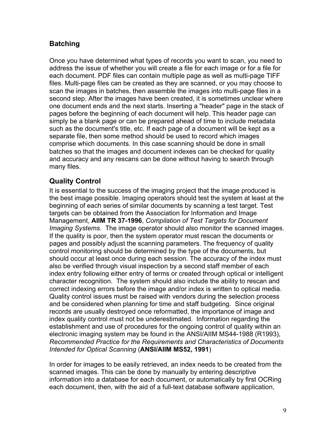# <span id="page-8-0"></span>**Batching**

Once you have determined what types of records you want to scan, you need to address the issue of whether you will create a file for each image or for a file for each document. PDF files can contain multiple page as well as multi-page TIFF files. Multi-page files can be created as they are scanned, or you may choose to scan the images in batches, then assemble the images into multi-page files in a second step. After the images have been created, it is sometimes unclear where one document ends and the next starts. Inserting a "header" page in the stack of pages before the beginning of each document will help. This header page can simply be a blank page or can be prepared ahead of time to include metadata such as the document's title, etc. If each page of a document will be kept as a separate file, then some method should be used to record which images comprise which documents. In this case scanning should be done in small batches so that the images and document indexes can be checked for quality and accuracy and any rescans can be done without having to search through many files.

# **Quality Control**

It is essential to the success of the imaging project that the image produced is the best image possible. Imaging operators should test the system at least at the beginning of each series of similar documents by scanning a test target. Test targets can be obtained from the Association for Information and Image Management, **AIIM TR 37-1996**, *Compilation of Test Targets for Document Imaging Systems*. The image operator should also monitor the scanned images. If the quality is poor, then the system operator must rescan the documents or pages and possibly adjust the scanning parameters. The frequency of quality control monitoring should be determined by the type of the documents, but should occur at least once during each session. The accuracy of the index must also be verified through visual inspection by a second staff member of each index entry following either entry of terms or created through optical or intelligent character recognition. The system should also include the ability to rescan and correct indexing errors before the image and/or index is written to optical media. Quality control issues must be raised with vendors during the selection process and be considered when planning for time and staff budgeting. Since original records are usually destroyed once reformatted, the importance of image and index quality control must not be underestimated. Information regarding the establishment and use of procedures for the ongoing control of quality within an electronic imaging system may be found in the ANSI/AIIM MS44-1988 (R1993), *Recommended Practice for the Requirements and Characteristics of Documents Intended for Optical Scanning* (**ANSI/AIIM MS52, 1991**)

In order for images to be easily retrieved, an index needs to be created from the scanned images. This can be done by manually by entering descriptive information into a database for each document, or automatically by first OCRing each document, then, with the aid of a full-text database software application,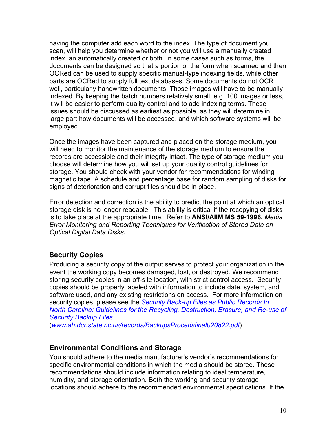<span id="page-9-0"></span>having the computer add each word to the index. The type of document you scan, will help you determine whether or not you will use a manually created index, an automatically created or both. In some cases such as forms, the documents can be designed so that a portion or the form when scanned and then OCRed can be used to supply specific manual-type indexing fields, while other parts are OCRed to supply full text databases. Some documents do not OCR well, particularly handwritten documents. Those images will have to be manually indexed. By keeping the batch numbers relatively small, e.g. 100 images or less, it will be easier to perform quality control and to add indexing terms. These issues should be discussed as earliest as possible, as they will determine in large part how documents will be accessed, and which software systems will be employed.

Once the images have been captured and placed on the storage medium, you will need to monitor the maintenance of the storage medium to ensure the records are accessible and their integrity intact. The type of storage medium you choose will determine how you will set up your quality control guidelines for storage. You should check with your vendor for recommendations for winding magnetic tape. A schedule and percentage base for random sampling of disks for signs of deterioration and corrupt files should be in place.

Error detection and correction is the ability to predict the point at which an optical storage disk is no longer readable. This ability is critical if the recopying of disks is to take place at the appropriate time. Refer to **ANSI/AIIM MS 59-1996,** *Media Error Monitoring and Reporting Techniques for Verification of Stored Data on Optical Digital Data Disks.* 

# **Security Copies**

Producing a security copy of the output serves to protect your organization in the event the working copy becomes damaged, lost, or destroyed. We recommend storing security copies in an off-site location, with strict control access. Security copies should be properly labeled with information to include date, system, and software used, and any existing restrictions on access. For more information on security copies, please see the *[Security Back-up Files as Public Records In](http://www.ah.dcr.state.nc.us/sections/archives/rec/BackupsProcedsfinal020822.pdf)  [North Carolina: Guidelines for the Recycling, Destruction, Erasure, and Re-use of](http://www.ah.dcr.state.nc.us/sections/archives/rec/BackupsProcedsfinal020822.pdf)  [Security Backup Files](http://www.ah.dcr.state.nc.us/sections/archives/rec/BackupsProcedsfinal020822.pdf)*

(*[www.ah.dcr.state.nc.us/records/BackupsProcedsfinal020822.pdf](http://www.ah.dcr.state.nc.us/records/BackupsProcedsfinal020822.pdf)*)

# **Environmental Conditions and Storage**

You should adhere to the media manufacturer's vendor's recommendations for specific environmental conditions in which the media should be stored. These recommendations should include information relating to ideal temperature, humidity, and storage orientation. Both the working and security storage locations should adhere to the recommended environmental specifications. If the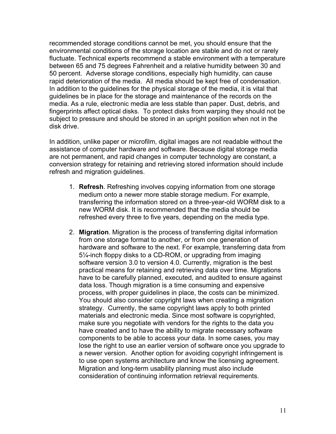recommended storage conditions cannot be met, you should ensure that the environmental conditions of the storage location are stable and do not or rarely fluctuate. Technical experts recommend a stable environment with a temperature between 65 and 75 degrees Fahrenheit and a relative humidity between 30 and 50 percent. Adverse storage conditions, especially high humidity, can cause rapid deterioration of the media. All media should be kept free of condensation. In addition to the guidelines for the physical storage of the media, it is vital that guidelines be in place for the storage and maintenance of the records on the media. As a rule, electronic media are less stable than paper. Dust, debris, and fingerprints affect optical disks. To protect disks from warping they should not be subject to pressure and should be stored in an upright position when not in the disk drive.

In addition, unlike paper or microfilm, digital images are not readable without the assistance of computer hardware and software. Because digital storage media are not permanent, and rapid changes in computer technology are constant, a conversion strategy for retaining and retrieving stored information should include refresh and migration guidelines.

- 1. **Refresh**. Refreshing involves copying information from one storage medium onto a newer more stable storage medium. For example, transferring the information stored on a three-year-old WORM disk to a new WORM disk. It is recommended that the media should be refreshed every three to five years, depending on the media type.
- 2. **Migration**. Migration is the process of transferring digital information from one storage format to another, or from one generation of hardware and software to the next. For example, transferring data from 5¼-inch floppy disks to a CD-ROM, or upgrading from imaging software version 3.0 to version 4.0. Currently, migration is the best practical means for retaining and retrieving data over time. Migrations have to be carefully planned, executed, and audited to ensure against data loss. Though migration is a time consuming and expensive process, with proper guidelines in place, the costs can be minimized. You should also consider copyright laws when creating a migration strategy. Currently, the same copyright laws apply to both printed materials and electronic media. Since most software is copyrighted, make sure you negotiate with vendors for the rights to the data you have created and to have the ability to migrate necessary software components to be able to access your data. In some cases, you may lose the right to use an earlier version of software once you upgrade to a newer version. Another option for avoiding copyright infringement is to use open systems architecture and know the licensing agreement. Migration and long-term usability planning must also include consideration of continuing information retrieval requirements.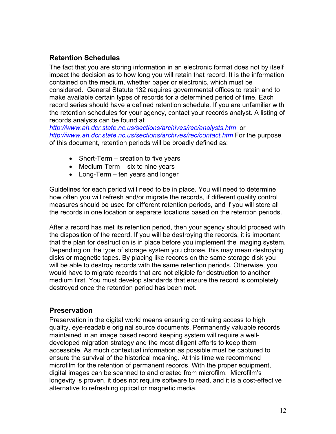# <span id="page-11-0"></span>**Retention Schedules**

The fact that you are storing information in an electronic format does not by itself impact the decision as to how long you will retain that record. It is the information contained on the medium, whether paper or electronic, which must be considered. General Statute 132 requires governmental offices to retain and to make available certain types of records for a determined period of time. Each record series should have a defined retention schedule. If you are unfamiliar with the retention schedules for your agency, contact your records analyst. A listing of records analysts can be found at

*<http://www.ah.dcr.state.nc.us/sections/archives/rec/analysts.htm>* or *<http://www.ah.dcr.state.nc.us/sections/archives/rec/contact.htm>* For the purpose of this document, retention periods will be broadly defined as:

- Short-Term creation to five years
- Medium-Term six to nine years
- Long-Term ten years and longer

Guidelines for each period will need to be in place. You will need to determine how often you will refresh and/or migrate the records, if different quality control measures should be used for different retention periods, and if you will store all the records in one location or separate locations based on the retention periods.

After a record has met its retention period, then your agency should proceed with the disposition of the record. If you will be destroying the records, it is important that the plan for destruction is in place before you implement the imaging system. Depending on the type of storage system you choose, this may mean destroying disks or magnetic tapes. By placing like records on the same storage disk you will be able to destroy records with the same retention periods. Otherwise, you would have to migrate records that are not eligible for destruction to another medium first. You must develop standards that ensure the record is completely destroyed once the retention period has been met.

#### **Preservation**

Preservation in the digital world means ensuring continuing access to high quality, eye-readable original source documents. Permanently valuable records maintained in an image based record keeping system will require a welldeveloped migration strategy and the most diligent efforts to keep them accessible. As much contextual information as possible must be captured to ensure the survival of the historical meaning. At this time we recommend microfilm for the retention of permanent records. With the proper equipment, digital images can be scanned to and created from microfilm. Microfilm's longevity is proven, it does not require software to read, and it is a cost-effective alternative to refreshing optical or magnetic media.